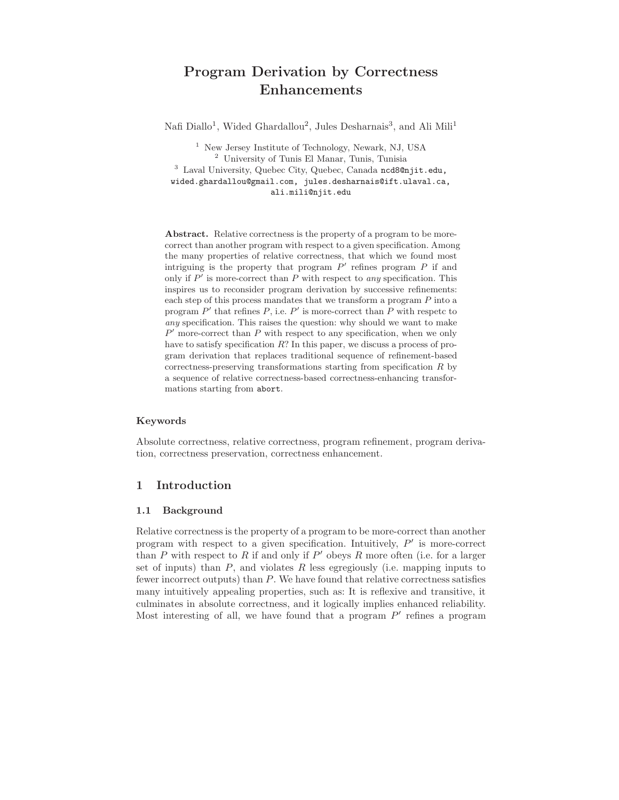# Program Derivation by Correctness Enhancements

Nafi Diallo<sup>1</sup>, Wided Ghardallou<sup>2</sup>, Jules Desharnais<sup>3</sup>, and Ali Mili<sup>1</sup>

<sup>1</sup> New Jersey Institute of Technology, Newark, NJ, USA <sup>2</sup> University of Tunis El Manar, Tunis, Tunisia <sup>3</sup> Laval University, Quebec City, Quebec, Canada ncd8@njit.edu, wided.ghardallou@gmail.com, jules.desharnais@ift.ulaval.ca, ali.mili@njit.edu

Abstract. Relative correctness is the property of a program to be morecorrect than another program with respect to a given specification. Among the many properties of relative correctness, that which we found most intriguing is the property that program  $P'$  refines program  $P$  if and only if  $P'$  is more-correct than  $P$  with respect to any specification. This inspires us to reconsider program derivation by successive refinements: each step of this process mandates that we transform a program P into a program  $P'$  that refines  $P$ , i.e.  $P'$  is more-correct than  $P$  with respetc to any specification. This raises the question: why should we want to make  $P'$  more-correct than  $P$  with respect to any specification, when we only have to satisfy specification  $R$ ? In this paper, we discuss a process of program derivation that replaces traditional sequence of refinement-based correctness-preserving transformations starting from specification  $R$  by a sequence of relative correctness-based correctness-enhancing transformations starting from abort.

#### Keywords

Absolute correctness, relative correctness, program refinement, program derivation, correctness preservation, correctness enhancement.

## 1 Introduction

#### 1.1 Background

Relative correctness is the property of a program to be more-correct than another program with respect to a given specification. Intuitively,  $P'$  is more-correct than P with respect to R if and only if  $P'$  obeys R more often (i.e. for a larger set of inputs) than  $P$ , and violates  $R$  less egregiously (i.e. mapping inputs to fewer incorrect outputs) than P. We have found that relative correctness satisfies many intuitively appealing properties, such as: It is reflexive and transitive, it culminates in absolute correctness, and it logically implies enhanced reliability. Most interesting of all, we have found that a program  $P'$  refines a program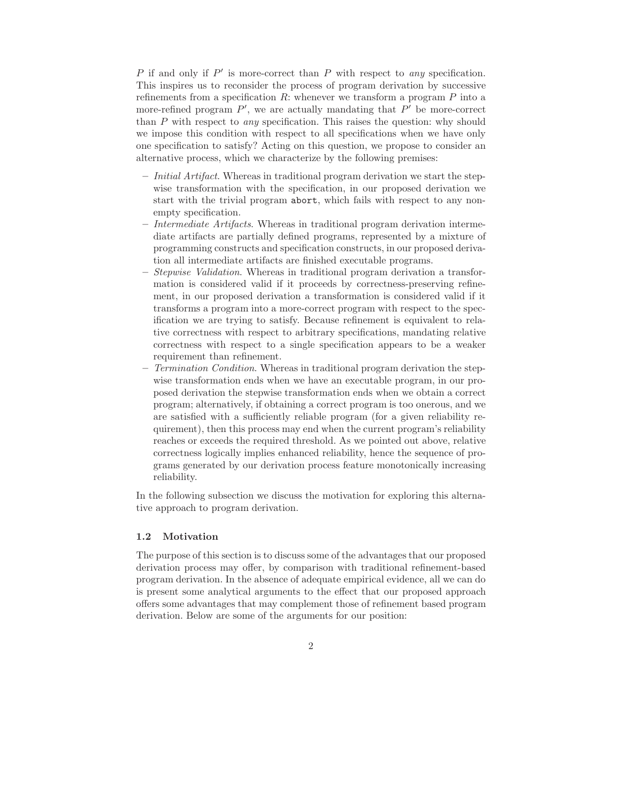$P$  if and only if  $P'$  is more-correct than  $P$  with respect to any specification. This inspires us to reconsider the process of program derivation by successive refinements from a specification  $R$ : whenever we transform a program  $P$  into a more-refined program  $P'$ , we are actually mandating that  $P'$  be more-correct than  $P$  with respect to *any* specification. This raises the question: why should we impose this condition with respect to all specifications when we have only one specification to satisfy? Acting on this question, we propose to consider an alternative process, which we characterize by the following premises:

- Initial Artifact. Whereas in traditional program derivation we start the stepwise transformation with the specification, in our proposed derivation we start with the trivial program abort, which fails with respect to any nonempty specification.
- Intermediate Artifacts. Whereas in traditional program derivation intermediate artifacts are partially defined programs, represented by a mixture of programming constructs and specification constructs, in our proposed derivation all intermediate artifacts are finished executable programs.
- Stepwise Validation. Whereas in traditional program derivation a transformation is considered valid if it proceeds by correctness-preserving refinement, in our proposed derivation a transformation is considered valid if it transforms a program into a more-correct program with respect to the specification we are trying to satisfy. Because refinement is equivalent to relative correctness with respect to arbitrary specifications, mandating relative correctness with respect to a single specification appears to be a weaker requirement than refinement.
- Termination Condition. Whereas in traditional program derivation the stepwise transformation ends when we have an executable program, in our proposed derivation the stepwise transformation ends when we obtain a correct program; alternatively, if obtaining a correct program is too onerous, and we are satisfied with a sufficiently reliable program (for a given reliability requirement), then this process may end when the current program's reliability reaches or exceeds the required threshold. As we pointed out above, relative correctness logically implies enhanced reliability, hence the sequence of programs generated by our derivation process feature monotonically increasing reliability.

In the following subsection we discuss the motivation for exploring this alternative approach to program derivation.

#### 1.2 Motivation

The purpose of this section is to discuss some of the advantages that our proposed derivation process may offer, by comparison with traditional refinement-based program derivation. In the absence of adequate empirical evidence, all we can do is present some analytical arguments to the effect that our proposed approach offers some advantages that may complement those of refinement based program derivation. Below are some of the arguments for our position: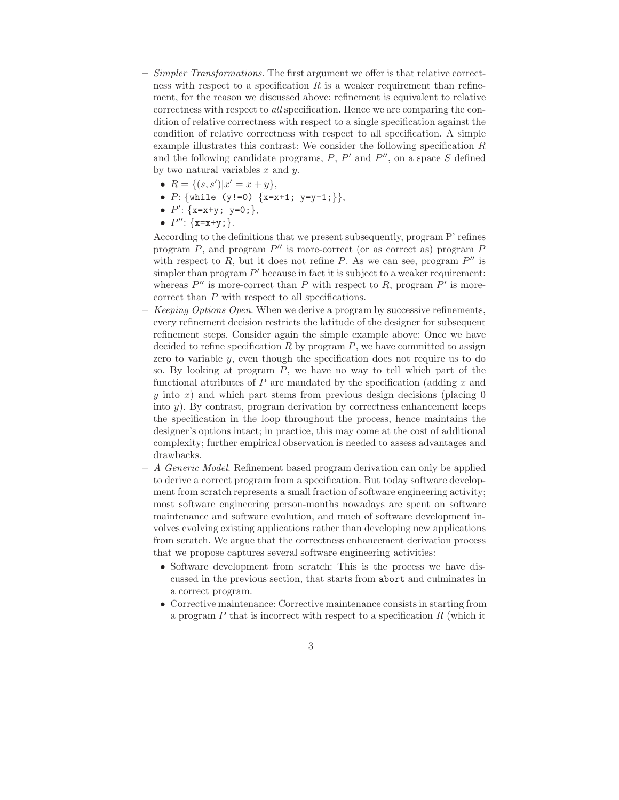- $-$  Simpler Transformations. The first argument we offer is that relative correctness with respect to a specification  $R$  is a weaker requirement than refinement, for the reason we discussed above: refinement is equivalent to relative correctness with respect to all specification. Hence we are comparing the condition of relative correctness with respect to a single specification against the condition of relative correctness with respect to all specification. A simple example illustrates this contrast: We consider the following specification  $R$ and the following candidate programs,  $P$ ,  $P'$  and  $P''$ , on a space  $S$  defined by two natural variables  $x$  and  $y$ .
	- $R = \{(s, s') | x' = x + y\},\$
	- $P: \{\text{while } (y != 0) \ \{x=x+1; y=y-1;\}\},\$
	- $P'$ : {x=x+y; y=0;},
	- $P''$ : {x=x+y;}.

According to the definitions that we present subsequently, program P' refines program  $P$ , and program  $P''$  is more-correct (or as correct as) program  $P$ with respect to  $\overline{R}$ , but it does not refine  $\overline{P}$ . As we can see, program  $P''$  is simpler than program  $P'$  because in fact it is subject to a weaker requirement: whereas  $P''$  is more-correct than P with respect to R, program  $P'$  is morecorrect than P with respect to all specifications.

- Keeping Options Open. When we derive a program by successive refinements, every refinement decision restricts the latitude of the designer for subsequent refinement steps. Consider again the simple example above: Once we have decided to refine specification  $R$  by program  $P$ , we have committed to assign zero to variable y, even though the specification does not require us to do so. By looking at program P, we have no way to tell which part of the functional attributes of  $P$  are mandated by the specification (adding  $x$  and y into x) and which part stems from previous design decisions (placing  $0$ into  $y$ ). By contrast, program derivation by correctness enhancement keeps the specification in the loop throughout the process, hence maintains the designer's options intact; in practice, this may come at the cost of additional complexity; further empirical observation is needed to assess advantages and drawbacks.
- A Generic Model. Refinement based program derivation can only be applied to derive a correct program from a specification. But today software development from scratch represents a small fraction of software engineering activity; most software engineering person-months nowadays are spent on software maintenance and software evolution, and much of software development involves evolving existing applications rather than developing new applications from scratch. We argue that the correctness enhancement derivation process that we propose captures several software engineering activities:
	- Software development from scratch: This is the process we have discussed in the previous section, that starts from abort and culminates in a correct program.
	- Corrective maintenance: Corrective maintenance consists in starting from a program  $P$  that is incorrect with respect to a specification  $R$  (which it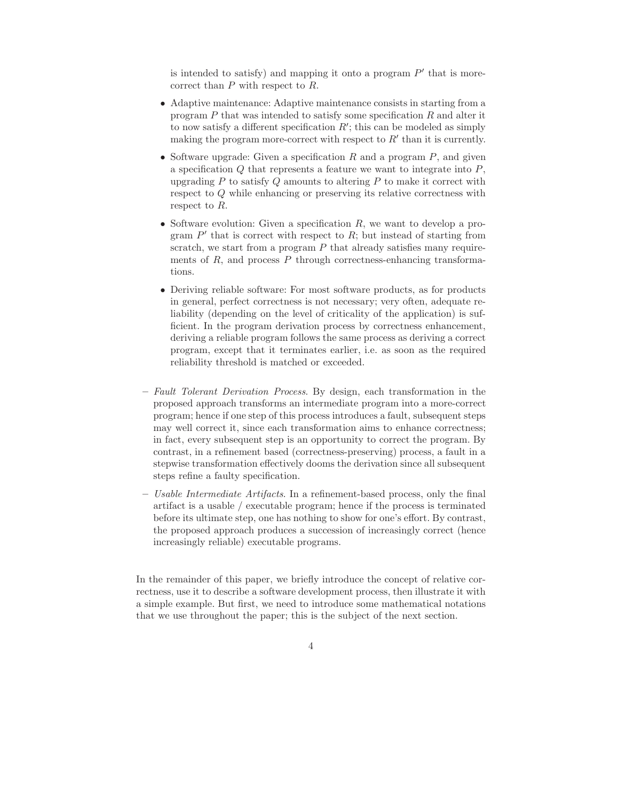is intended to satisfy) and mapping it onto a program  $P'$  that is morecorrect than P with respect to R.

- Adaptive maintenance: Adaptive maintenance consists in starting from a program  $P$  that was intended to satisfy some specification  $R$  and alter it to now satisfy a different specification  $R'$ ; this can be modeled as simply making the program more-correct with respect to  $R'$  than it is currently.
- Software upgrade: Given a specification  $R$  and a program  $P$ , and given a specification  $Q$  that represents a feature we want to integrate into  $P$ , upgrading  $P$  to satisfy  $Q$  amounts to altering  $P$  to make it correct with respect to Q while enhancing or preserving its relative correctness with respect to R.
- Software evolution: Given a specification  $R$ , we want to develop a program  $P'$  that is correct with respect to  $R$ ; but instead of starting from scratch, we start from a program  $P$  that already satisfies many requirements of  $R$ , and process  $P$  through correctness-enhancing transformations.
- Deriving reliable software: For most software products, as for products in general, perfect correctness is not necessary; very often, adequate reliability (depending on the level of criticality of the application) is sufficient. In the program derivation process by correctness enhancement, deriving a reliable program follows the same process as deriving a correct program, except that it terminates earlier, i.e. as soon as the required reliability threshold is matched or exceeded.
- Fault Tolerant Derivation Process. By design, each transformation in the proposed approach transforms an intermediate program into a more-correct program; hence if one step of this process introduces a fault, subsequent steps may well correct it, since each transformation aims to enhance correctness; in fact, every subsequent step is an opportunity to correct the program. By contrast, in a refinement based (correctness-preserving) process, a fault in a stepwise transformation effectively dooms the derivation since all subsequent steps refine a faulty specification.
- Usable Intermediate Artifacts. In a refinement-based process, only the final artifact is a usable / executable program; hence if the process is terminated before its ultimate step, one has nothing to show for one's effort. By contrast, the proposed approach produces a succession of increasingly correct (hence increasingly reliable) executable programs.

In the remainder of this paper, we briefly introduce the concept of relative correctness, use it to describe a software development process, then illustrate it with a simple example. But first, we need to introduce some mathematical notations that we use throughout the paper; this is the subject of the next section.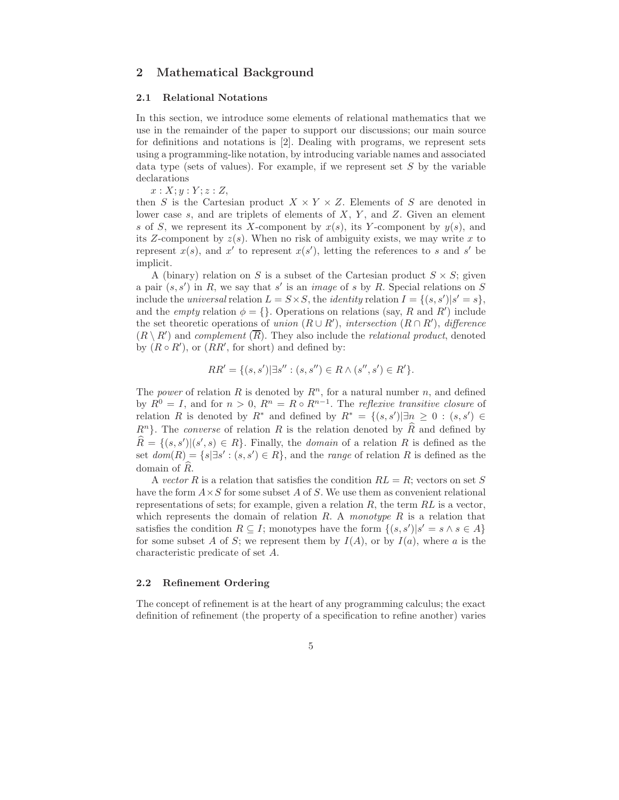## 2 Mathematical Background

#### 2.1 Relational Notations

In this section, we introduce some elements of relational mathematics that we use in the remainder of the paper to support our discussions; our main source for definitions and notations is [2]. Dealing with programs, we represent sets using a programming-like notation, by introducing variable names and associated data type (sets of values). For example, if we represent set  $S$  by the variable declarations

 $x: X; y: Y; z: Z$ 

then S is the Cartesian product  $X \times Y \times Z$ . Elements of S are denoted in lower case  $s$ , and are triplets of elements of  $X$ ,  $Y$ , and  $Z$ . Given an element s of S, we represent its X-component by  $x(s)$ , its Y-component by  $y(s)$ , and its Z-component by  $z(s)$ . When no risk of ambiguity exists, we may write x to represent  $x(s)$ , and  $x'$  to represent  $x(s')$ , letting the references to s and s' be implicit.

A (binary) relation on S is a subset of the Cartesian product  $S \times S$ ; given a pair  $(s, s')$  in R, we say that s' is an *image* of s by R. Special relations on S include the *universal* relation  $L = S \times S$ , the *identity* relation  $I = \{(s, s') | s' = s\}$ , and the *empty* relation  $\phi = \{\}$ . Operations on relations (say, R and R') include the set theoretic operations of union  $(R\cup R')$ , intersection  $(R\cap R')$ , difference  $(R \setminus R')$  and complement  $(\overline{R})$ . They also include the *relational product*, denoted by  $(R \circ R')$ , or  $(RR'$ , for short) and defined by:

$$
RR' = \{(s, s') | \exists s'': (s, s'') \in R \land (s'', s') \in R'\}.
$$

The *power* of relation R is denoted by  $R^n$ , for a natural number n, and defined by  $R^0 = I$ , and for  $n > 0$ ,  $R^n = R \circ R^{n-1}$ . The *reflexive transitive closure* of relation R is denoted by  $R^*$  and defined by  $R^* = \{(s, s') | \exists n \geq 0 : (s, s') \in$  $R<sup>n</sup>$ . The *converse* of relation R is the relation denoted by R and defined by  $\widehat{R} = \{(s, s') | (s', s) \in R\}$ . Finally, the *domain* of a relation R is defined as the set  $dom(R) = \{s | \exists s' : (s, s') \in R\}$ , and the *range* of relation R is defined as the domain of  $\widehat{R}$ .

A vector R is a relation that satisfies the condition  $RL = R$ ; vectors on set S have the form  $A \times S$  for some subset A of S. We use them as convenient relational representations of sets; for example, given a relation  $R$ , the term  $RL$  is a vector, which represents the domain of relation  $R$ . A monotype  $R$  is a relation that satisfies the condition  $R \subseteq I$ ; monotypes have the form  $\{(s, s') | s' = s \land s \in A\}$ for some subset A of S; we represent them by  $I(A)$ , or by  $I(a)$ , where a is the characteristic predicate of set A.

#### 2.2 Refinement Ordering

The concept of refinement is at the heart of any programming calculus; the exact definition of refinement (the property of a specification to refine another) varies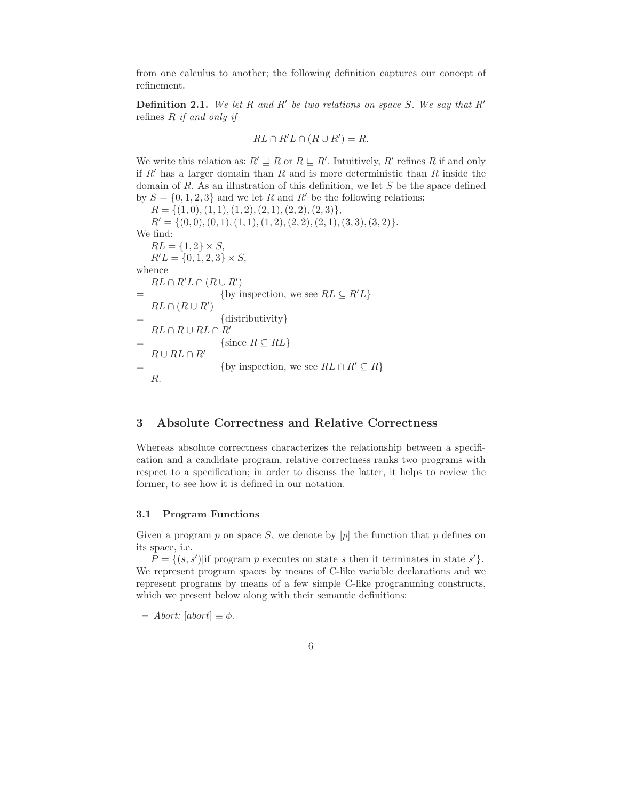from one calculus to another; the following definition captures our concept of refinement.

**Definition 2.1.** We let R and R' be two relations on space S. We say that R' refines  $R$  if and only if

$$
RL \cap R'L \cap (R \cup R') = R.
$$

We write this relation as:  $R' \sqsupseteq R$  or  $R \sqsubseteq R'$ . Intuitively,  $R'$  refines R if and only if R' has a larger domain than R and is more deterministic than R inside the domain of R. As an illustration of this definition, we let  $S$  be the space defined by  $S = \{0, 1, 2, 3\}$  and we let R and R' be the following relations:

 $R = \{(1, 0), (1, 1), (1, 2), (2, 1), (2, 2), (2, 3)\},\$  $R' = \{(0, 0), (0, 1), (1, 1), (1, 2), (2, 2), (2, 1), (3, 3), (3, 2)\}.$ We find:  $RL = \{1, 2\} \times S$ ,  $R'L = \{0, 1, 2, 3\} \times S,$ whence  $RL \cap R'L \cap (R \cup R')$ = {by inspection, we see  $RL \subseteq R'L$ }  $RL \cap (R \cup R')$  $=$  {distributivity}  $RL \cap R \cup RL \cap R'$  $=$  {since  $R \subseteq RL$ }  $R \cup RL \cap R'$  $=$  {by inspection, we see  $RL \cap R' \subseteq R$ } R.

# 3 Absolute Correctness and Relative Correctness

Whereas absolute correctness characterizes the relationship between a specification and a candidate program, relative correctness ranks two programs with respect to a specification; in order to discuss the latter, it helps to review the former, to see how it is defined in our notation.

## 3.1 Program Functions

Given a program p on space S, we denote by  $[p]$  the function that p defines on its space, i.e.

 $P = \{(s, s') | \text{if program } p \text{ executes on state } s \text{ then it terminates in state } s'\}.$ We represent program spaces by means of C-like variable declarations and we represent programs by means of a few simple C-like programming constructs, which we present below along with their semantic definitions:

– Abort: [abort] ≡ φ.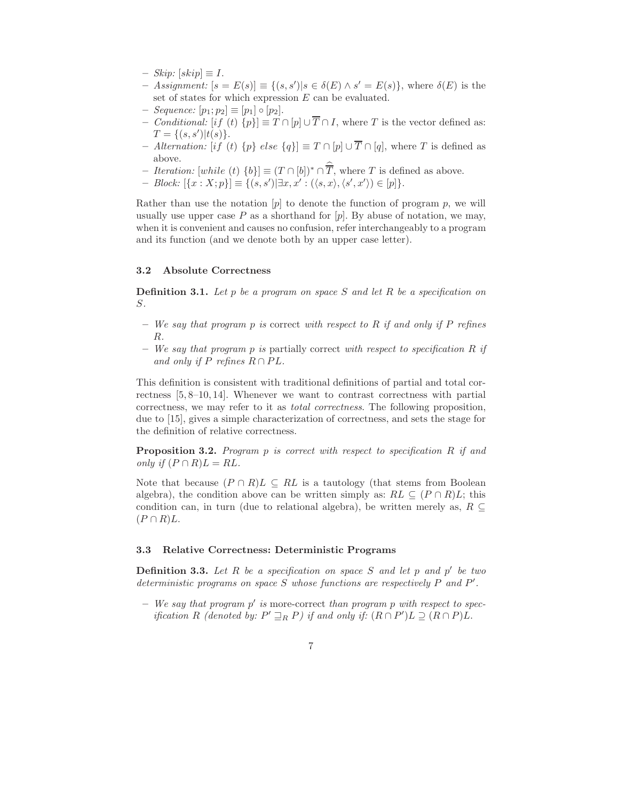- $-$  Skip:  $[skip] \equiv I.$
- $-$  Assignment: [s = E(s)] ≡ {(s, s')|s ∈ δ(E) ∧ s' = E(s)}, where δ(E) is the set of states for which expression E can be evaluated.
- $-$  Sequence:  $[p_1; p_2] \equiv [p_1] \circ [p_2]$ .
- Conditional:  $[if (t) \{p\}] \equiv T \cap [p] \cup \overline{T} \cap I$ , where T is the vector defined as:  $T = \{(s, s')|t(s)\}.$
- Alternation:  $[i f (t) \{p\}$  else  $\{q\}] \equiv T \cap [p] \cup \overline{T} \cap [q]$ , where T is defined as above.
- *Iteration:* [while (t)  $\{b\}$ ] ≡  $(T \cap [b])^* \cap \overline{T}$ , where T is defined as above.
- $Block: [\{x : X; p\}] \equiv \{(s, s') | \exists x, x' : (\langle s, x \rangle, \langle s', x' \rangle) \in [p]\}.$

Rather than use the notation  $[p]$  to denote the function of program p, we will usually use upper case P as a shorthand for  $[p]$ . By abuse of notation, we may, when it is convenient and causes no confusion, refer interchangeably to a program and its function (and we denote both by an upper case letter).

#### 3.2 Absolute Correctness

**Definition 3.1.** Let p be a program on space S and let R be a specification on S.

- $-$  We say that program p is correct with respect to R if and only if P refines R.
- We say that program p is partially correct with respect to specification R if and only if P refines  $R \cap PL$ .

This definition is consistent with traditional definitions of partial and total correctness [5, 8–10, 14]. Whenever we want to contrast correctness with partial correctness, we may refer to it as total correctness. The following proposition, due to [15], gives a simple characterization of correctness, and sets the stage for the definition of relative correctness.

**Proposition 3.2.** Program p is correct with respect to specification R if and only if  $(P \cap R)L = RL$ .

Note that because  $(P \cap R)L \subseteq RL$  is a tautology (that stems from Boolean algebra), the condition above can be written simply as:  $RL \subseteq (P \cap R)L$ ; this condition can, in turn (due to relational algebra), be written merely as,  $R \subseteq$  $(P \cap R)L$ .

#### 3.3 Relative Correctness: Deterministic Programs

**Definition 3.3.** Let R be a specification on space S and let p and  $p'$  be two deterministic programs on space  $S$  whose functions are respectively  $P$  and  $P'$ .

 $-$  We say that program  $p'$  is more-correct than program  $p$  with respect to specification R (denoted by:  $P' \sqsupseteq_R P$ ) if and only if:  $(R \cap P')L \supseteq (R \cap P)L$ .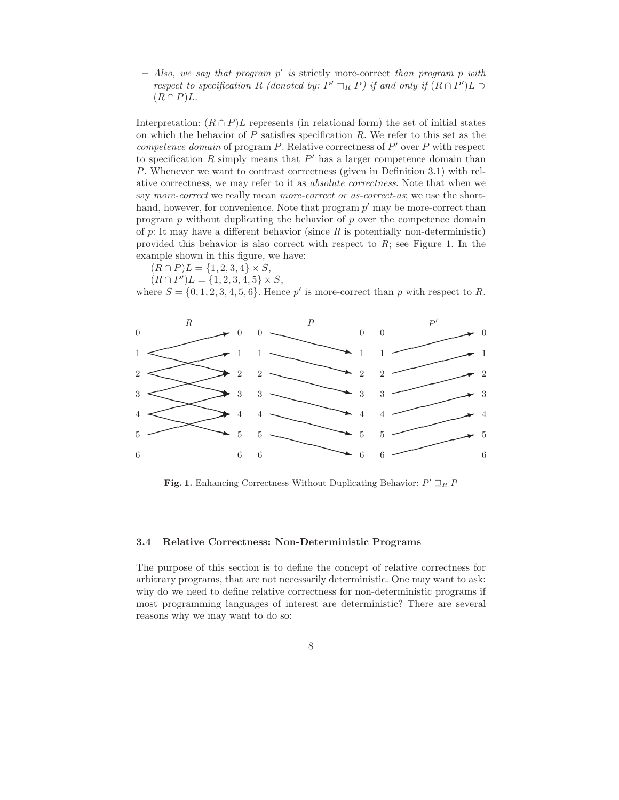$-$  Also, we say that program  $p'$  is strictly more-correct than program p with respect to specification R (denoted by:  $P' \rightrightarrows_R P$ ) if and only if  $(R \cap P')L \rightrightarrows_R R$  $(R \cap P)L$ .

Interpretation:  $(R \cap P)L$  represents (in relational form) the set of initial states on which the behavior of  $P$  satisfies specification  $R$ . We refer to this set as the competence domain of program  $P$ . Relative correctness of  $P'$  over  $P$  with respect to specification  $R$  simply means that  $P'$  has a larger competence domain than P. Whenever we want to contrast correctness (given in Definition 3.1) with relative correctness, we may refer to it as absolute correctness. Note that when we say *more-correct* we really mean *more-correct or as-correct-as*; we use the shorthand, however, for convenience. Note that program  $p'$  may be more-correct than program  $p$  without duplicating the behavior of  $p$  over the competence domain of p: It may have a different behavior (since  $R$  is potentially non-deterministic) provided this behavior is also correct with respect to  $R$ ; see Figure 1. In the example shown in this figure, we have:

- $(R \cap P)L = \{1, 2, 3, 4\} \times S$ ,
- $(R \cap P')L = \{1, 2, 3, 4, 5\} \times S,$

where  $S = \{0, 1, 2, 3, 4, 5, 6\}$ . Hence p' is more-correct than p with respect to R.



Fig. 1. Enhancing Correctness Without Duplicating Behavior:  $P' \sqsupseteq_R P$ 

#### 3.4 Relative Correctness: Non-Deterministic Programs

The purpose of this section is to define the concept of relative correctness for arbitrary programs, that are not necessarily deterministic. One may want to ask: why do we need to define relative correctness for non-deterministic programs if most programming languages of interest are deterministic? There are several reasons why we may want to do so: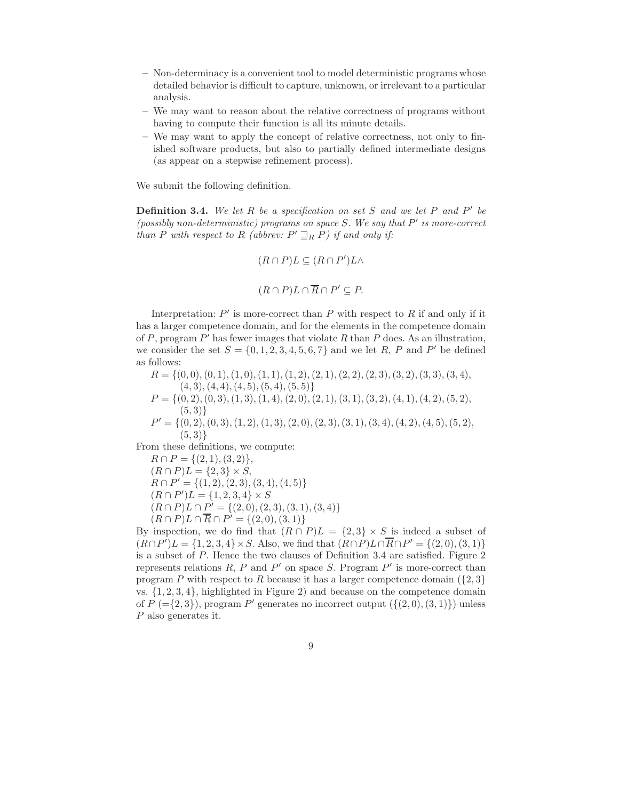- Non-determinacy is a convenient tool to model deterministic programs whose detailed behavior is difficult to capture, unknown, or irrelevant to a particular analysis.
- We may want to reason about the relative correctness of programs without having to compute their function is all its minute details.
- We may want to apply the concept of relative correctness, not only to finished software products, but also to partially defined intermediate designs (as appear on a stepwise refinement process).

We submit the following definition.

**Definition 3.4.** We let R be a specification on set S and we let P and P' be (possibly non-deterministic) programs on space  $S$ . We say that  $P'$  is more-correct than P with respect to R (abbrev:  $P' \sqsupseteq_R P$ ) if and only if:

$$
(R \cap P)L \subseteq (R \cap P')L \land
$$

$$
(R \cap P)L \cap \overline{R} \cap P' \subseteq P.
$$

Interpretation:  $P'$  is more-correct than  $P$  with respect to  $R$  if and only if it has a larger competence domain, and for the elements in the competence domain of P, program  $P'$  has fewer images that violate R than P does. As an illustration, we consider the set  $S = \{0, 1, 2, 3, 4, 5, 6, 7\}$  and we let R, P and P' be defined as follows:

 $R = \{(0, 0), (0, 1), (1, 0), (1, 1), (1, 2), (2, 1), (2, 2), (2, 3), (3, 2), (3, 3), (3, 4),$  $(4, 3), (4, 4), (4, 5), (5, 4), (5, 5)$  $P = \{(0, 2), (0, 3), (1, 3), (1, 4), (2, 0), (2, 1), (3, 1), (3, 2), (4, 1), (4, 2), (5, 2),$  $(5, 3)$ }  $P' = \{ (0, 2), (0, 3), (1, 2), (1, 3), (2, 0), (2, 3), (3, 1), (3, 4), (4, 2), (4, 5), (5, 2),$  $(5, 3)$ 

From these definitions, we compute:

 $R \cap P = \{(2, 1), (3, 2)\},\,$  $(R \cap P)L = \{2,3\} \times S$ ,  $R \cap P' = \{(1, 2), (2, 3), (3, 4), (4, 5)\}$  $(R \cap P')L = \{1, 2, 3, 4\} \times S$  $(R \cap P)L \cap P' = \{(2,0), (2,3), (3,1), (3,4)\}$  $(R \cap P)L \cap \overline{R} \cap P' = \{(2,0), (3,1)\}$ 

By inspection, we do find that  $(R \cap P)L = \{2,3\} \times S$  is indeed a subset of  $(R \cap P')L = \{1, 2, 3, 4\} \times S$ . Also, we find that  $(R \cap P)L \cap \overline{R} \cap P' = \{(2, 0), (3, 1)\}$ is a subset of P. Hence the two clauses of Definition 3.4 are satisfied. Figure 2 represents relations  $R$ ,  $P$  and  $P'$  on space  $S$ . Program  $P'$  is more-correct than program P with respect to R because it has a larger competence domain  $(2, 3)$ vs.  $\{1, 2, 3, 4\}$ , highlighted in Figure 2) and because on the competence domain of  $P$  (={2,3}), program  $P'$  generates no incorrect output ({ $(2,0)$ , $(3,1)$ }) unless P also generates it.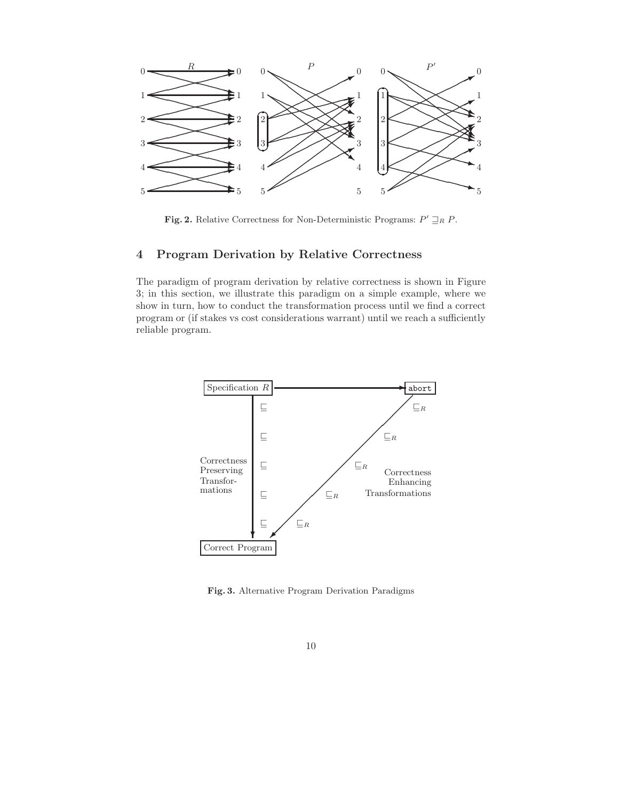

Fig. 2. Relative Correctness for Non-Deterministic Programs:  $P' \sqsupseteq_R P$ .

# 4 Program Derivation by Relative Correctness

The paradigm of program derivation by relative correctness is shown in Figure 3; in this section, we illustrate this paradigm on a simple example, where we show in turn, how to conduct the transformation process until we find a correct program or (if stakes vs cost considerations warrant) until we reach a sufficiently reliable program.



Fig. 3. Alternative Program Derivation Paradigms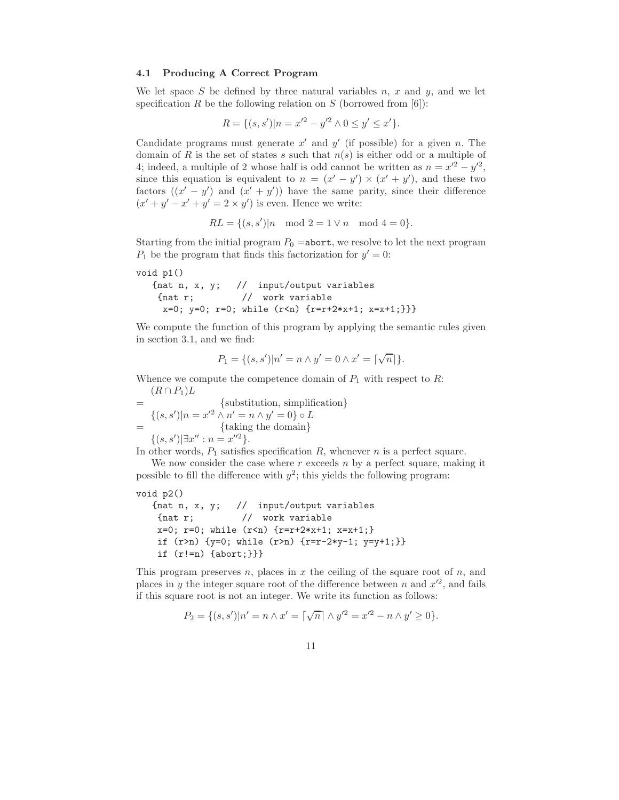#### 4.1 Producing A Correct Program

We let space S be defined by three natural variables  $n, x$  and  $y$ , and we let specification R be the following relation on S (borrowed from  $[6]$ ):

$$
R = \{(s, s')|n = x'^{2} - y'^{2} \wedge 0 \le y' \le x'\}.
$$

Candidate programs must generate  $x'$  and  $y'$  (if possible) for a given n. The domain of R is the set of states s such that  $n(s)$  is either odd or a multiple of 4; indeed, a multiple of 2 whose half is odd cannot be written as  $n = x'^2 - y'^2$ , since this equation is equivalent to  $n = (x'-y') \times (x'+y')$ , and these two factors  $((x'-y')$  and  $(x'+y')$  have the same parity, since their difference  $(x'+y'-x'+y'=2\times y')$  is even. Hence we write:

$$
RL = \{(s, s') | n \mod 2 = 1 \lor n \mod 4 = 0\}.
$$

Starting from the initial program  $P_0 =$ abort, we resolve to let the next program  $P_1$  be the program that finds this factorization for  $y' = 0$ :

```
void p1()
```

```
{nat n, x, y; // input/output variables
 {nat r; // work variable
 x=0; y=0; r=0; while (r < n) \{r=r+2*x+1; x=x+1;\}
```
We compute the function of this program by applying the semantic rules given in section 3.1, and we find:

$$
P_1 = \{(s, s') | n' = n \wedge y' = 0 \wedge x' = \lceil \sqrt{n} \rceil \}.
$$

Whence we compute the competence domain of  $P_1$  with respect to  $R$ :  $(R \cap P_1)L$ 

= {substitution, simplification}  $\{(s, s') | n = x'^2 \wedge n' = n \wedge y' = 0\} \circ L$ = {taking the domain}  $\{(s, s') | \exists x'' : n = x''^2\}.$ 

In other words,  $P_1$  satisfies specification R, whenever n is a perfect square.

We now consider the case where  $r$  exceeds  $n$  by a perfect square, making it possible to fill the difference with  $y^2$ ; this yields the following program:

```
void p2()
```

```
{nat n, x, y; // input/output variables
{nat r; // work variable
x=0; r=0; while (r < n) \{r=r+2*x+1; x=x+1;\}if (r>n) {y=0; while (r>n) {r=r-2*y-1; y=y+1;}}
if (r!=n) {abort;}}}
```
This program preserves  $n$ , places in  $x$  the ceiling of the square root of  $n$ , and places in y the integer square root of the difference between n and  $x'^2$ , and fails if this square root is not an integer. We write its function as follows:

$$
P_2 = \{(s, s') | n' = n \wedge x' = \lceil \sqrt{n} \rceil \wedge y'^2 = x'^2 - n \wedge y' \ge 0 \}.
$$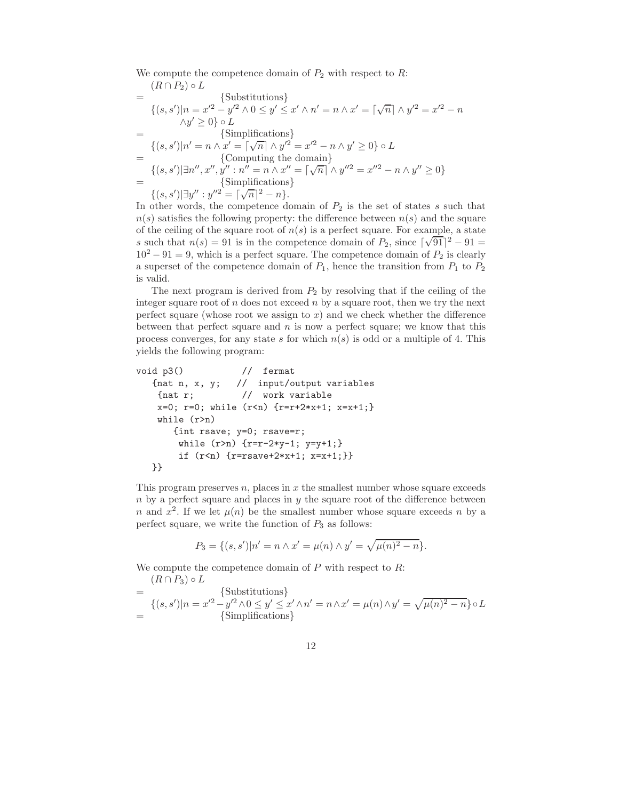We compute the competence domain of  $P_2$  with respect to R:  $(R \cap P_2) \circ L$ 

$$
= \{ (s, s') | n = x'^2 - y'^2 \land 0 \le y' \le x' \land n' = n \land x' = \lceil \sqrt{n} \rceil \land y'^2 = x'^2 - n
$$
  
\n
$$
\land y' \ge 0 \} \circ L
$$
  
\n
$$
= \{ (s, s') | n' = n \land x' = \lceil \sqrt{n} \rceil \land y'^2 = x'^2 - n \land y' \ge 0 \} \circ L
$$
  
\n
$$
= \{ (s, s') | \exists n'', x'', y'' : n'' = n \land x'' = \lceil \sqrt{n} \rceil \land y''^2 = x''^2 - n \land y'' \ge 0 \}
$$
  
\n
$$
= \{ (s, s') | \exists y'' : y''^2 = \lceil \sqrt{n} \rceil^2 - n \}.
$$

In other words, the competence domain of  $P_2$  is the set of states s such that  $n(s)$  satisfies the following property: the difference between  $n(s)$  and the square of the ceiling of the square root of  $n(s)$  is a perfect square. For example, a state s such that  $n(s) = 91$  is in the competence domain of  $P_2$ , since  $\lceil \sqrt{91} \rceil^2 - 91 =$  $10^2 - 91 = 9$ , which is a perfect square. The competence domain of  $P_2$  is clearly a superset of the competence domain of  $P_1$ , hence the transition from  $P_1$  to  $P_2$ is valid.

The next program is derived from  $P_2$  by resolving that if the ceiling of the integer square root of  $n$  does not exceed  $n$  by a square root, then we try the next perfect square (whose root we assign to  $x$ ) and we check whether the difference between that perfect square and  $n$  is now a perfect square; we know that this process converges, for any state s for which  $n(s)$  is odd or a multiple of 4. This yields the following program:

```
void p3() \frac{1}{2} // fermat
  {nat n, x, y; // input/output variables
   {nat r; // work variable
   x=0; r=0; while (r < n) \{r=r+2*x+1; x=x+1;\}while (r>n)
      {int rsave; y=0; rsave=r;
       while (r>n) {r=r-2*y-1; y=y+1;}
       if (r<n) {r=rsave+2*x+1; x=x+1;}}
  }}
```
This program preserves  $n$ , places in  $x$  the smallest number whose square exceeds  $n$  by a perfect square and places in  $y$  the square root of the difference between n and  $x^2$ . If we let  $\mu(n)$  be the smallest number whose square exceeds n by a perfect square, we write the function of  $P_3$  as follows:

$$
P_3 = \{(s, s')|n' = n \wedge x' = \mu(n) \wedge y' = \sqrt{\mu(n)^2 - n}\}.
$$

We compute the competence domain of  $P$  with respect to  $R$ :  $(R \cap P_2) \circ L$ 

$$
= \begin{cases} (\text{substitutions}) \\ (\text{s}, \text{s'})|n = x'^2 - y'^2 \land 0 \le y' \le x' \land n' = n \land x' = \mu(n) \land y' = \sqrt{\mu(n)^2 - n} \circ L \\ \text{Simplifications} \end{cases}
$$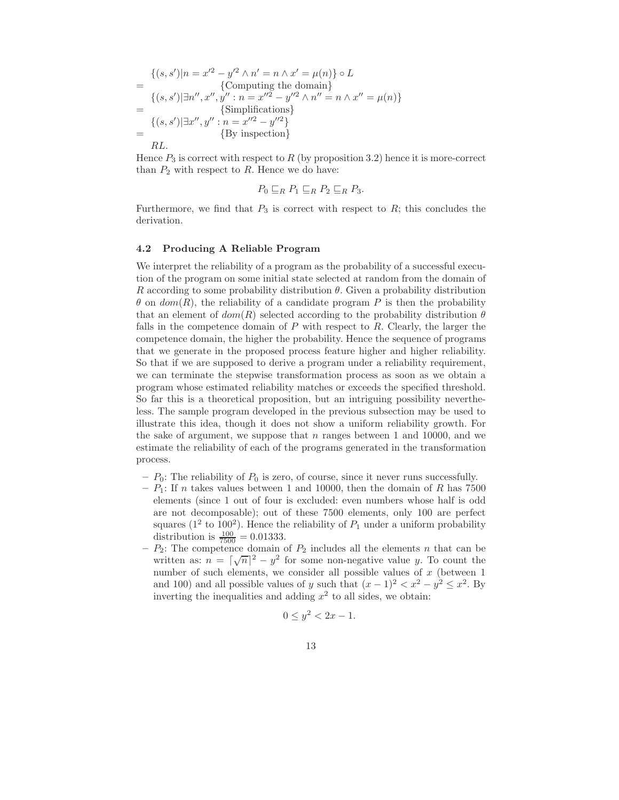$$
\begin{aligned}\n\{(s, s')|n = x'^2 - y'^2 \wedge n' = n \wedge x' = \mu(n)\} \circ L \\
&= \{\text{Computing the domain}\} \\
\{(s, s')|\exists n'', x'', y'': n = x''^2 - y''^2 \wedge n'' = n \wedge x'' = \mu(n)\} \\
&= \{(s, s')|\exists x'', y'': n = x''^2 - y''^2\} \\
&= \{By inspection\} \\
RL.\n\end{aligned}
$$

Hence  $P_3$  is correct with respect to R (by proposition 3.2) hence it is more-correct than  $P_2$  with respect to R. Hence we do have:

$$
P_0 \sqsubseteq_R P_1 \sqsubseteq_R P_2 \sqsubseteq_R P_3.
$$

Furthermore, we find that  $P_3$  is correct with respect to  $R$ ; this concludes the derivation.

#### 4.2 Producing A Reliable Program

We interpret the reliability of a program as the probability of a successful execution of the program on some initial state selected at random from the domain of R according to some probability distribution  $\theta$ . Given a probability distribution  $\theta$  on  $dom(R)$ , the reliability of a candidate program P is then the probability that an element of  $dom(R)$  selected according to the probability distribution  $\theta$ falls in the competence domain of  $P$  with respect to  $R$ . Clearly, the larger the competence domain, the higher the probability. Hence the sequence of programs that we generate in the proposed process feature higher and higher reliability. So that if we are supposed to derive a program under a reliability requirement, we can terminate the stepwise transformation process as soon as we obtain a program whose estimated reliability matches or exceeds the specified threshold. So far this is a theoretical proposition, but an intriguing possibility nevertheless. The sample program developed in the previous subsection may be used to illustrate this idea, though it does not show a uniform reliability growth. For the sake of argument, we suppose that  $n$  ranges between 1 and 10000, and we estimate the reliability of each of the programs generated in the transformation process.

- $P_0$ : The reliability of  $P_0$  is zero, of course, since it never runs successfully.
- $P_1$ : If n takes values between 1 and 10000, then the domain of R has 7500 elements (since 1 out of four is excluded: even numbers whose half is odd are not decomposable); out of these 7500 elements, only 100 are perfect squares ( $1^2$  to  $100^2$ ). Hence the reliability of  $P_1$  under a uniform probability distribution is  $\frac{100}{7500} = 0.01333$ .
- $P_2$ : The competence domain of  $P_2$  includes all the elements n that can be written as:  $n = \lceil \sqrt{n} \rceil^2 - y^2$  for some non-negative value y. To count the number of such elements, we consider all possible values of  $x$  (between 1) and 100) and all possible values of y such that  $(x - 1)^2 < x^2 - y^2 \le x^2$ . By inverting the inequalities and adding  $x^2$  to all sides, we obtain:

$$
0 \le y^2 < 2x - 1.
$$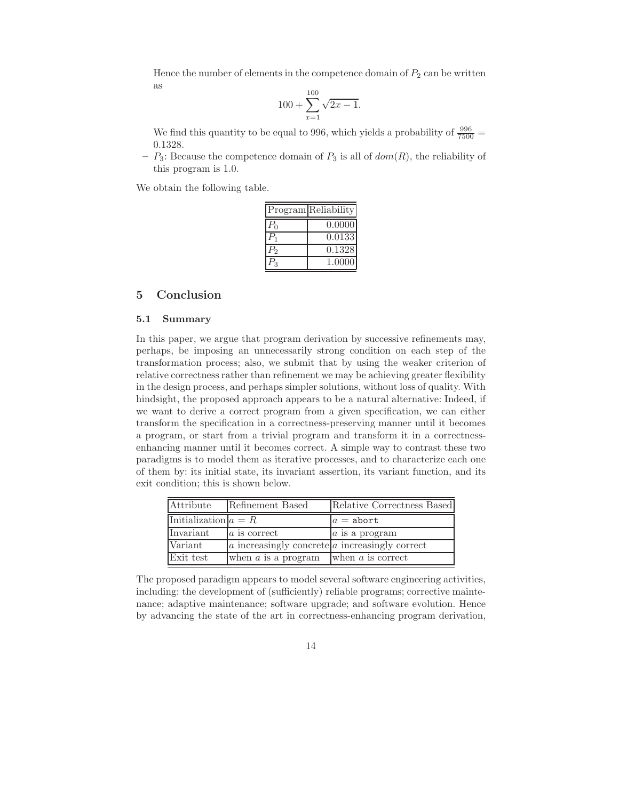Hence the number of elements in the competence domain of  $P_2$  can be written as

$$
100 + \sum_{x=1}^{100} \sqrt{2x - 1}.
$$

We find this quantity to be equal to 996, which yields a probability of  $\frac{996}{7500}$  = 0.1328.

–  $P_3$ : Because the competence domain of  $P_3$  is all of  $dom(R)$ , the reliability of this program is 1.0.

We obtain the following table.

|                | Program Reliability |
|----------------|---------------------|
| $P_0$          | 0.0000              |
| $P_1$          | 0.0133              |
| P <sub>2</sub> | 0.1328              |
|                | 1.0000              |

# 5 Conclusion

#### 5.1 Summary

In this paper, we argue that program derivation by successive refinements may, perhaps, be imposing an unnecessarily strong condition on each step of the transformation process; also, we submit that by using the weaker criterion of relative correctness rather than refinement we may be achieving greater flexibility in the design process, and perhaps simpler solutions, without loss of quality. With hindsight, the proposed approach appears to be a natural alternative: Indeed, if we want to derive a correct program from a given specification, we can either transform the specification in a correctness-preserving manner until it becomes a program, or start from a trivial program and transform it in a correctnessenhancing manner until it becomes correct. A simple way to contrast these two paradigms is to model them as iterative processes, and to characterize each one of them by: its initial state, its invariant assertion, its variant function, and its exit condition; this is shown below.

| Attribute              | Refinement Based                                       | Relative Correctness Based |
|------------------------|--------------------------------------------------------|----------------------------|
| Initialization $a = R$ |                                                        | $a =$ abort                |
| Invariant              | a is correct                                           | $a$ is a program           |
| Variant                | $ a $ increasingly concrete $ a $ increasingly correct |                            |
| Exit test              | when $a$ is a program                                  | when $a$ is correct        |

The proposed paradigm appears to model several software engineering activities, including: the development of (sufficiently) reliable programs; corrective maintenance; adaptive maintenance; software upgrade; and software evolution. Hence by advancing the state of the art in correctness-enhancing program derivation,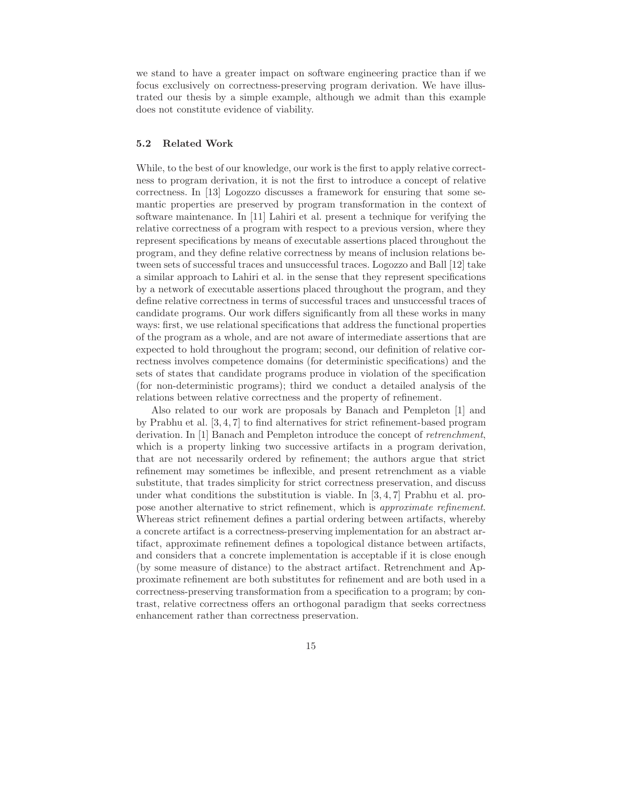we stand to have a greater impact on software engineering practice than if we focus exclusively on correctness-preserving program derivation. We have illustrated our thesis by a simple example, although we admit than this example does not constitute evidence of viability.

#### 5.2 Related Work

While, to the best of our knowledge, our work is the first to apply relative correctness to program derivation, it is not the first to introduce a concept of relative correctness. In [13] Logozzo discusses a framework for ensuring that some semantic properties are preserved by program transformation in the context of software maintenance. In [11] Lahiri et al. present a technique for verifying the relative correctness of a program with respect to a previous version, where they represent specifications by means of executable assertions placed throughout the program, and they define relative correctness by means of inclusion relations between sets of successful traces and unsuccessful traces. Logozzo and Ball [12] take a similar approach to Lahiri et al. in the sense that they represent specifications by a network of executable assertions placed throughout the program, and they define relative correctness in terms of successful traces and unsuccessful traces of candidate programs. Our work differs significantly from all these works in many ways: first, we use relational specifications that address the functional properties of the program as a whole, and are not aware of intermediate assertions that are expected to hold throughout the program; second, our definition of relative correctness involves competence domains (for deterministic specifications) and the sets of states that candidate programs produce in violation of the specification (for non-deterministic programs); third we conduct a detailed analysis of the relations between relative correctness and the property of refinement.

Also related to our work are proposals by Banach and Pempleton [1] and by Prabhu et al. [3, 4, 7] to find alternatives for strict refinement-based program derivation. In [1] Banach and Pempleton introduce the concept of retrenchment, which is a property linking two successive artifacts in a program derivation, that are not necessarily ordered by refinement; the authors argue that strict refinement may sometimes be inflexible, and present retrenchment as a viable substitute, that trades simplicity for strict correctness preservation, and discuss under what conditions the substitution is viable. In  $[3, 4, 7]$  Prabhu et al. propose another alternative to strict refinement, which is approximate refinement. Whereas strict refinement defines a partial ordering between artifacts, whereby a concrete artifact is a correctness-preserving implementation for an abstract artifact, approximate refinement defines a topological distance between artifacts, and considers that a concrete implementation is acceptable if it is close enough (by some measure of distance) to the abstract artifact. Retrenchment and Approximate refinement are both substitutes for refinement and are both used in a correctness-preserving transformation from a specification to a program; by contrast, relative correctness offers an orthogonal paradigm that seeks correctness enhancement rather than correctness preservation.